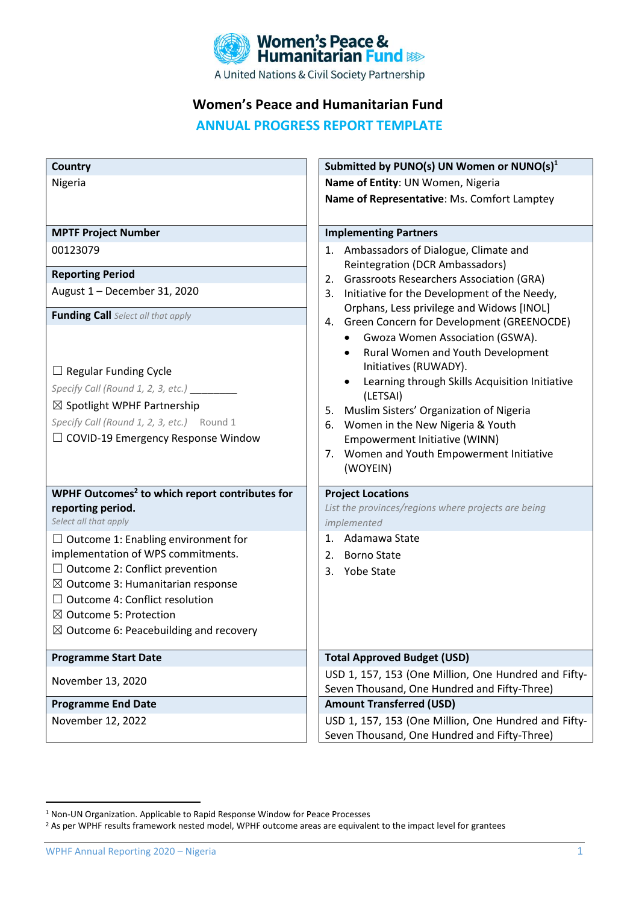

# **Women's Peace and Humanitarian Fund**

**ANNUAL PROGRESS REPORT TEMPLATE**

| <b>Country</b>                                             | Submitted by PUNO(s) UN Women or NUNO(s) <sup>1</sup>                                           |
|------------------------------------------------------------|-------------------------------------------------------------------------------------------------|
| Nigeria                                                    | Name of Entity: UN Women, Nigeria                                                               |
|                                                            | Name of Representative: Ms. Comfort Lamptey                                                     |
|                                                            |                                                                                                 |
| <b>MPTF Project Number</b>                                 | <b>Implementing Partners</b>                                                                    |
| 00123079                                                   | Ambassadors of Dialogue, Climate and<br>1.                                                      |
| <b>Reporting Period</b>                                    | Reintegration (DCR Ambassadors)                                                                 |
| August 1 - December 31, 2020                               | <b>Grassroots Researchers Association (GRA)</b><br>2.                                           |
|                                                            | Initiative for the Development of the Needy,<br>3.<br>Orphans, Less privilege and Widows [INOL] |
| <b>Funding Call</b> Select all that apply                  | 4. Green Concern for Development (GREENOCDE)                                                    |
|                                                            | Gwoza Women Association (GSWA).                                                                 |
|                                                            | Rural Women and Youth Development                                                               |
| $\Box$ Regular Funding Cycle                               | Initiatives (RUWADY).                                                                           |
| Specify Call (Round 1, 2, 3, etc.) _________               | Learning through Skills Acquisition Initiative                                                  |
| $\boxtimes$ Spotlight WPHF Partnership                     | (LETSAI)                                                                                        |
| Specify Call (Round 1, 2, 3, etc.) Round 1                 | Muslim Sisters' Organization of Nigeria<br>5.                                                   |
| $\Box$ COVID-19 Emergency Response Window                  | Women in the New Nigeria & Youth<br>6.<br>Empowerment Initiative (WINN)                         |
|                                                            | Women and Youth Empowerment Initiative<br>7.                                                    |
|                                                            | (WOYEIN)                                                                                        |
|                                                            |                                                                                                 |
| WPHF Outcomes <sup>2</sup> to which report contributes for | <b>Project Locations</b><br>List the provinces/regions where projects are being                 |
| reporting period.<br>Select all that apply                 | implemented                                                                                     |
| $\Box$ Outcome 1: Enabling environment for                 | 1. Adamawa State                                                                                |
| implementation of WPS commitments.                         | 2.<br><b>Borno State</b>                                                                        |
| $\Box$ Outcome 2: Conflict prevention                      | <b>Yobe State</b><br>3.                                                                         |
| $\boxtimes$ Outcome 3: Humanitarian response               |                                                                                                 |
| $\Box$ Outcome 4: Conflict resolution                      |                                                                                                 |
| $\boxtimes$ Outcome 5: Protection                          |                                                                                                 |
| $\boxtimes$ Outcome 6: Peacebuilding and recovery          |                                                                                                 |
| <b>Programme Start Date</b>                                | <b>Total Approved Budget (USD)</b>                                                              |
|                                                            | USD 1, 157, 153 (One Million, One Hundred and Fifty-                                            |
| November 13, 2020                                          | Seven Thousand, One Hundred and Fifty-Three)                                                    |
| <b>Programme End Date</b>                                  | <b>Amount Transferred (USD)</b>                                                                 |
| November 12, 2022                                          | USD 1, 157, 153 (One Million, One Hundred and Fifty-                                            |
|                                                            | Seven Thousand, One Hundred and Fifty-Three)                                                    |

WPHF Annual Reporting 2020 – Nigeria 1 and 2008 1 and 2008 1 and 2008 1 and 2008 1 and 2008 1 and 2008 1 and 2008 1 and 2008 1 and 2008 1 and 2008 1 and 2008 1 and 2008 1 and 2008 1 and 2008 1 and 2008 1 and 2008 1 and 200

<sup>1</sup> Non-UN Organization. Applicable to Rapid Response Window for Peace Processes

<sup>&</sup>lt;sup>2</sup> As per WPHF results framework nested model, WPHF outcome areas are equivalent to the impact level for grantees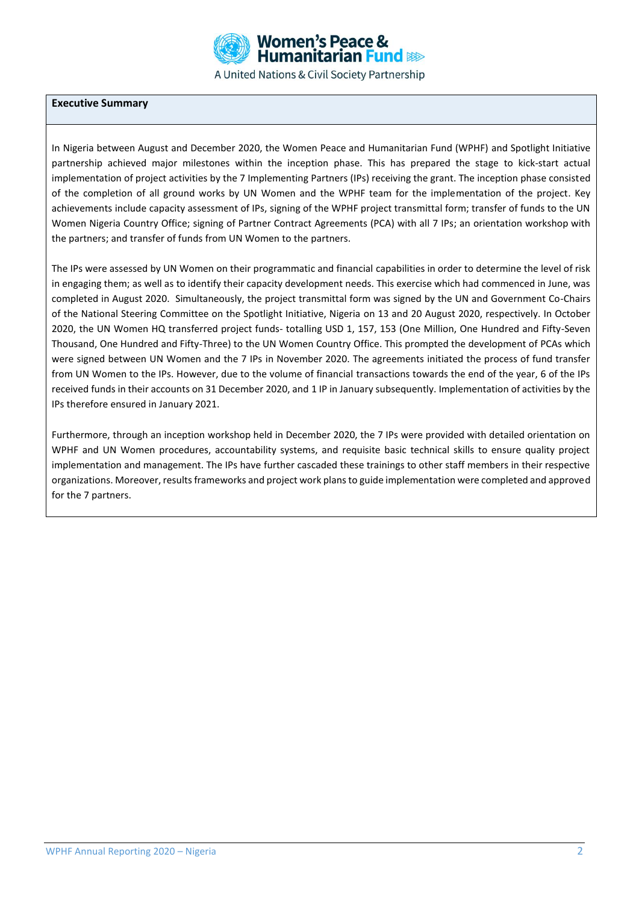

### **Executive Summary**

In Nigeria between August and December 2020, the Women Peace and Humanitarian Fund (WPHF) and Spotlight Initiative partnership achieved major milestones within the inception phase. This has prepared the stage to kick-start actual implementation of project activities by the 7 Implementing Partners (IPs) receiving the grant. The inception phase consisted of the completion of all ground works by UN Women and the WPHF team for the implementation of the project. Key achievements include capacity assessment of IPs, signing of the WPHF project transmittal form; transfer of funds to the UN Women Nigeria Country Office; signing of Partner Contract Agreements (PCA) with all 7 IPs; an orientation workshop with the partners; and transfer of funds from UN Women to the partners.

The IPs were assessed by UN Women on their programmatic and financial capabilities in order to determine the level of risk in engaging them; as well as to identify their capacity development needs. This exercise which had commenced in June, was completed in August 2020. Simultaneously, the project transmittal form was signed by the UN and Government Co-Chairs of the National Steering Committee on the Spotlight Initiative, Nigeria on 13 and 20 August 2020, respectively. In October 2020, the UN Women HQ transferred project funds- totalling USD 1, 157, 153 (One Million, One Hundred and Fifty-Seven Thousand, One Hundred and Fifty-Three) to the UN Women Country Office. This prompted the development of PCAs which were signed between UN Women and the 7 IPs in November 2020. The agreements initiated the process of fund transfer from UN Women to the IPs. However, due to the volume of financial transactions towards the end of the year, 6 of the IPs received funds in their accounts on 31 December 2020, and 1 IP in January subsequently. Implementation of activities by the IPs therefore ensured in January 2021.

Furthermore, through an inception workshop held in December 2020, the 7 IPs were provided with detailed orientation on WPHF and UN Women procedures, accountability systems, and requisite basic technical skills to ensure quality project implementation and management. The IPs have further cascaded these trainings to other staff members in their respective organizations. Moreover, results frameworks and project work plans to guide implementation were completed and approved for the 7 partners.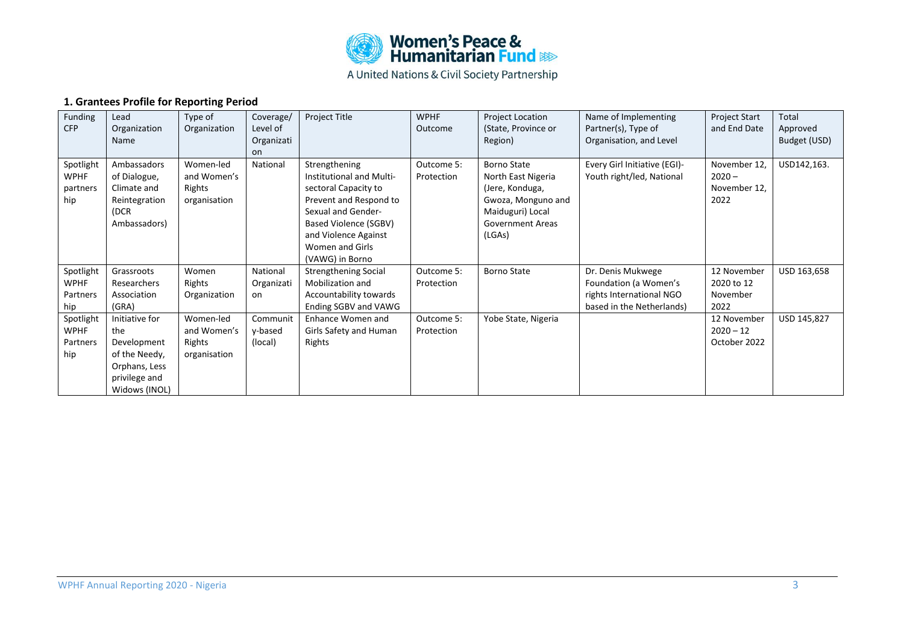

### **1. Grantees Profile for Reporting Period**

| Funding<br><b>CFP</b>                       | Lead<br>Organization<br>Name                                                                             | Type of<br>Organization                            | Coverage/<br>Level of<br>Organizati<br>on. | Project Title                                                                                                                                                                                            | <b>WPHF</b><br>Outcome   | <b>Project Location</b><br>(State, Province or<br>Region)                                                                           | Name of Implementing<br>Partner(s), Type of<br>Organisation, and Level                              | <b>Project Start</b><br>and End Date             | Total<br>Approved<br>Budget (USD) |
|---------------------------------------------|----------------------------------------------------------------------------------------------------------|----------------------------------------------------|--------------------------------------------|----------------------------------------------------------------------------------------------------------------------------------------------------------------------------------------------------------|--------------------------|-------------------------------------------------------------------------------------------------------------------------------------|-----------------------------------------------------------------------------------------------------|--------------------------------------------------|-----------------------------------|
| Spotlight<br><b>WPHF</b><br>partners<br>hip | Ambassadors<br>of Dialogue,<br>Climate and<br>Reintegration<br>(DCR<br>Ambassadors)                      | Women-led<br>and Women's<br>Rights<br>organisation | National                                   | Strengthening<br>Institutional and Multi-<br>sectoral Capacity to<br>Prevent and Respond to<br>Sexual and Gender-<br>Based Violence (SGBV)<br>and Violence Against<br>Women and Girls<br>(VAWG) in Borno | Outcome 5:<br>Protection | Borno State<br>North East Nigeria<br>(Jere, Konduga,<br>Gwoza, Monguno and<br>Maiduguri) Local<br><b>Government Areas</b><br>(LGAs) | Every Girl Initiative (EGI)-<br>Youth right/led, National                                           | November 12,<br>$2020 -$<br>November 12,<br>2022 | USD142,163.                       |
| Spotlight<br><b>WPHF</b><br>Partners<br>hip | Grassroots<br>Researchers<br>Association<br>(GRA)                                                        | Women<br>Rights<br>Organization                    | National<br>Organizati<br>on               | <b>Strengthening Social</b><br>Mobilization and<br>Accountability towards<br>Ending SGBV and VAWG                                                                                                        | Outcome 5:<br>Protection | <b>Borno State</b>                                                                                                                  | Dr. Denis Mukwege<br>Foundation (a Women's<br>rights International NGO<br>based in the Netherlands) | 12 November<br>2020 to 12<br>November<br>2022    | USD 163,658                       |
| Spotlight<br><b>WPHF</b><br>Partners<br>hip | Initiative for<br>the<br>Development<br>of the Needy,<br>Orphans, Less<br>privilege and<br>Widows (INOL) | Women-led<br>and Women's<br>Rights<br>organisation | Communit<br>y-based<br>(local)             | Enhance Women and<br>Girls Safety and Human<br>Rights                                                                                                                                                    | Outcome 5:<br>Protection | Yobe State, Nigeria                                                                                                                 |                                                                                                     | 12 November<br>$2020 - 12$<br>October 2022       | USD 145,827                       |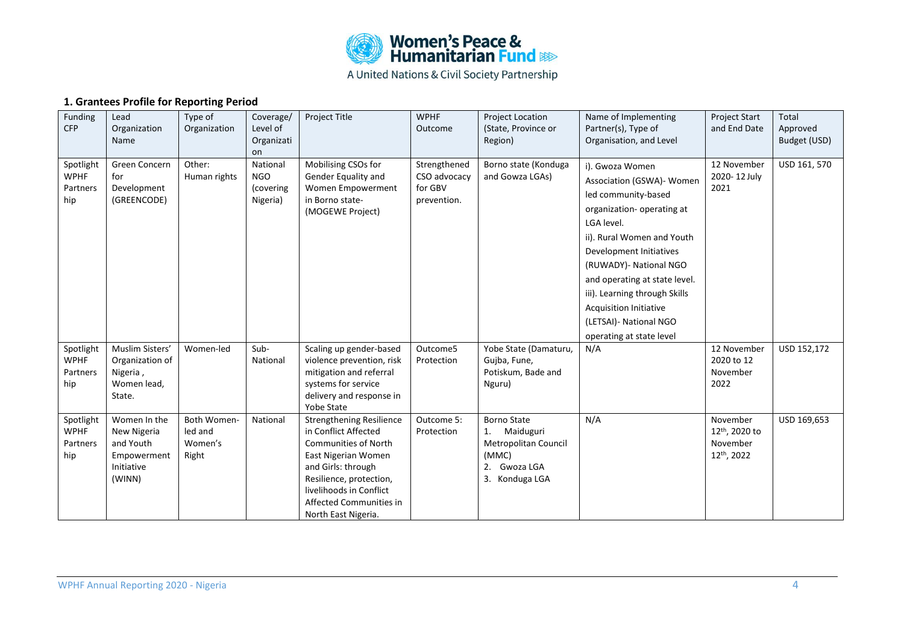

## **1. Grantees Profile for Reporting Period**

| Funding<br><b>CFP</b>                       | Lead<br>Organization<br>Name                                                    | Type of<br>Organization                    | Coverage/<br>Level of<br>Organizati<br>on       | Project Title                                                                                                                                                                                                                               | <b>WPHF</b><br>Outcome                                 | <b>Project Location</b><br>(State, Province or<br>Region)                                                   | Name of Implementing<br>Partner(s), Type of<br>Organisation, and Level                                                                                                                                                                                                                                                                                       | <b>Project Start</b><br>and End Date                             | Total<br>Approved<br>Budget (USD) |
|---------------------------------------------|---------------------------------------------------------------------------------|--------------------------------------------|-------------------------------------------------|---------------------------------------------------------------------------------------------------------------------------------------------------------------------------------------------------------------------------------------------|--------------------------------------------------------|-------------------------------------------------------------------------------------------------------------|--------------------------------------------------------------------------------------------------------------------------------------------------------------------------------------------------------------------------------------------------------------------------------------------------------------------------------------------------------------|------------------------------------------------------------------|-----------------------------------|
| Spotlight<br><b>WPHF</b><br>Partners<br>hip | Green Concern<br>for<br>Development<br>(GREENCODE)                              | Other:<br>Human rights                     | National<br><b>NGO</b><br>(covering<br>Nigeria) | Mobilising CSOs for<br>Gender Equality and<br>Women Empowerment<br>in Borno state-<br>(MOGEWE Project)                                                                                                                                      | Strengthened<br>CSO advocacy<br>for GBV<br>prevention. | Borno state (Konduga<br>and Gowza LGAs)                                                                     | i). Gwoza Women<br>Association (GSWA)- Women<br>led community-based<br>organization- operating at<br>LGA level.<br>ii). Rural Women and Youth<br>Development Initiatives<br>(RUWADY)- National NGO<br>and operating at state level.<br>iii). Learning through Skills<br><b>Acquisition Initiative</b><br>(LETSAI) - National NGO<br>operating at state level | 12 November<br>2020-12 July<br>2021                              | USD 161, 570                      |
| Spotlight<br><b>WPHF</b><br>Partners<br>hip | Muslim Sisters'<br>Organization of<br>Nigeria,<br>Women lead,<br>State.         | Women-led                                  | Sub-<br>National                                | Scaling up gender-based<br>violence prevention, risk<br>mitigation and referral<br>systems for service<br>delivery and response in<br>Yobe State                                                                                            | Outcome5<br>Protection                                 | Yobe State (Damaturu,<br>Gujba, Fune,<br>Potiskum, Bade and<br>Nguru)                                       | N/A                                                                                                                                                                                                                                                                                                                                                          | 12 November<br>2020 to 12<br>November<br>2022                    | USD 152,172                       |
| Spotlight<br><b>WPHF</b><br>Partners<br>hip | Women In the<br>New Nigeria<br>and Youth<br>Empowerment<br>Initiative<br>(WINN) | Both Women-<br>led and<br>Women's<br>Right | National                                        | <b>Strengthening Resilience</b><br>in Conflict Affected<br><b>Communities of North</b><br>East Nigerian Women<br>and Girls: through<br>Resilience, protection,<br>livelihoods in Conflict<br>Affected Communities in<br>North East Nigeria. | Outcome 5:<br>Protection                               | <b>Borno State</b><br>Maiduguri<br>1.<br>Metropolitan Council<br>(MMC)<br>Gwoza LGA<br>2.<br>3. Konduga LGA | N/A                                                                                                                                                                                                                                                                                                                                                          | November<br>12 <sup>th</sup> , 2020 to<br>November<br>12th, 2022 | USD 169,653                       |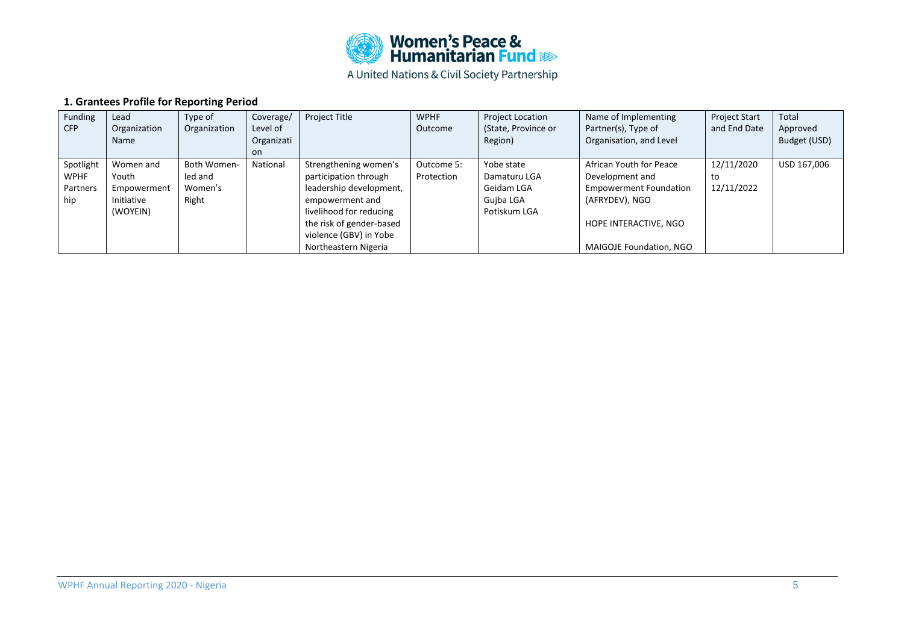

## **1. Grantees Profile for Reporting Period**

| Funding    | Lead         | Type of      | Coverage/  | <b>Project Title</b>     | <b>WPHF</b> | <b>Project Location</b> | Name of Implementing          | <b>Project Start</b> | Total        |
|------------|--------------|--------------|------------|--------------------------|-------------|-------------------------|-------------------------------|----------------------|--------------|
| <b>CFP</b> | Organization | Organization | Level of   |                          | Outcome     | (State, Province or     | Partner(s), Type of           | and End Date         | Approved     |
|            | Name         |              | Organizati |                          |             | Region)                 | Organisation, and Level       |                      | Budget (USD) |
|            |              |              | on.        |                          |             |                         |                               |                      |              |
| Spotlight  | Women and    | Both Women-  | National   | Strengthening women's    | Outcome 5:  | Yobe state              | African Youth for Peace       | 12/11/2020           | USD 167,006  |
| WPHF       | Youth        | led and      |            | participation through    | Protection  | Damaturu LGA            | Development and               | to                   |              |
| Partners   | Empowerment  | Women's      |            | leadership development,  |             | Geidam LGA              | <b>Empowerment Foundation</b> | 12/11/2022           |              |
| hip        | Initiative   | Right        |            | empowerment and          |             | Guiba LGA               | (AFRYDEV), NGO                |                      |              |
|            | (WOYEIN)     |              |            | livelihood for reducing  |             | Potiskum LGA            |                               |                      |              |
|            |              |              |            | the risk of gender-based |             |                         | HOPE INTERACTIVE, NGO         |                      |              |
|            |              |              |            | violence (GBV) in Yobe   |             |                         |                               |                      |              |
|            |              |              |            | Northeastern Nigeria     |             |                         | MAIGOJE Foundation, NGO       |                      |              |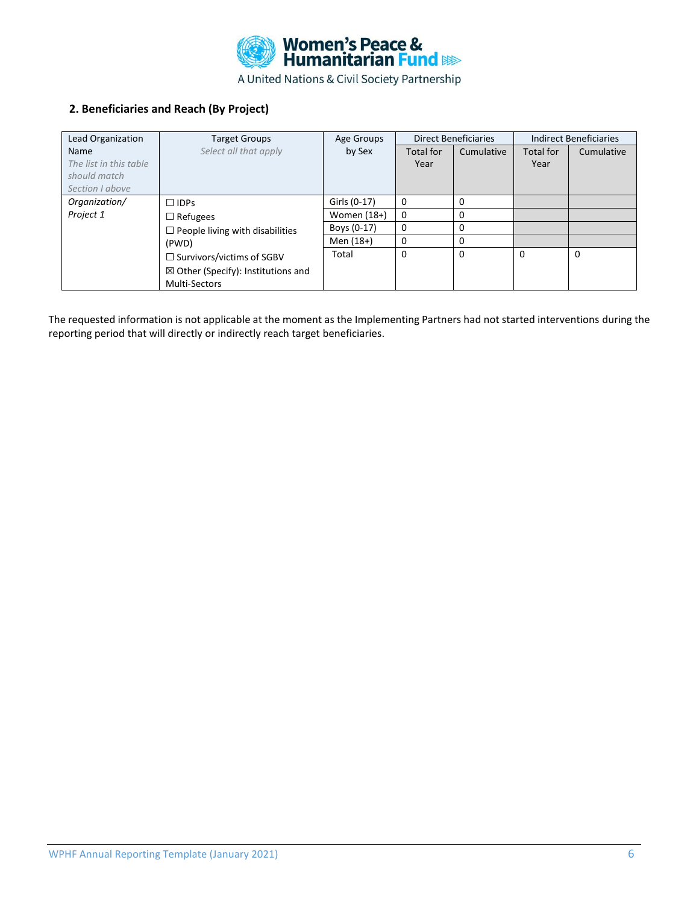

### **2. Beneficiaries and Reach (By Project)**

| Lead Organization      | <b>Target Groups</b>                          | Age Groups    |             | <b>Direct Beneficiaries</b> | <b>Indirect Beneficiaries</b> |            |
|------------------------|-----------------------------------------------|---------------|-------------|-----------------------------|-------------------------------|------------|
| <b>Name</b>            | Select all that apply                         | by Sex        | Total for   | Cumulative                  | <b>Total for</b>              | Cumulative |
| The list in this table |                                               |               | Year        |                             | Year                          |            |
| should match           |                                               |               |             |                             |                               |            |
| Section I above        |                                               |               |             |                             |                               |            |
| Organization/          | $\Box$ IDPs                                   | Girls (0-17)  | 0           | 0                           |                               |            |
| Project 1              | $\Box$ Refugees                               | Women $(18+)$ | 0           | 0                           |                               |            |
|                        | $\Box$ People living with disabilities        | Boys (0-17)   | $\mathbf 0$ | 0                           |                               |            |
|                        | (PWD)                                         | Men (18+)     | 0           | $\Omega$                    |                               |            |
|                        | $\Box$ Survivors/victims of SGBV              | Total         | $\mathbf 0$ | $\Omega$                    | 0                             | 0          |
|                        | $\boxtimes$ Other (Specify): Institutions and |               |             |                             |                               |            |
|                        | <b>Multi-Sectors</b>                          |               |             |                             |                               |            |

The requested information is not applicable at the moment as the Implementing Partners had not started interventions during the reporting period that will directly or indirectly reach target beneficiaries.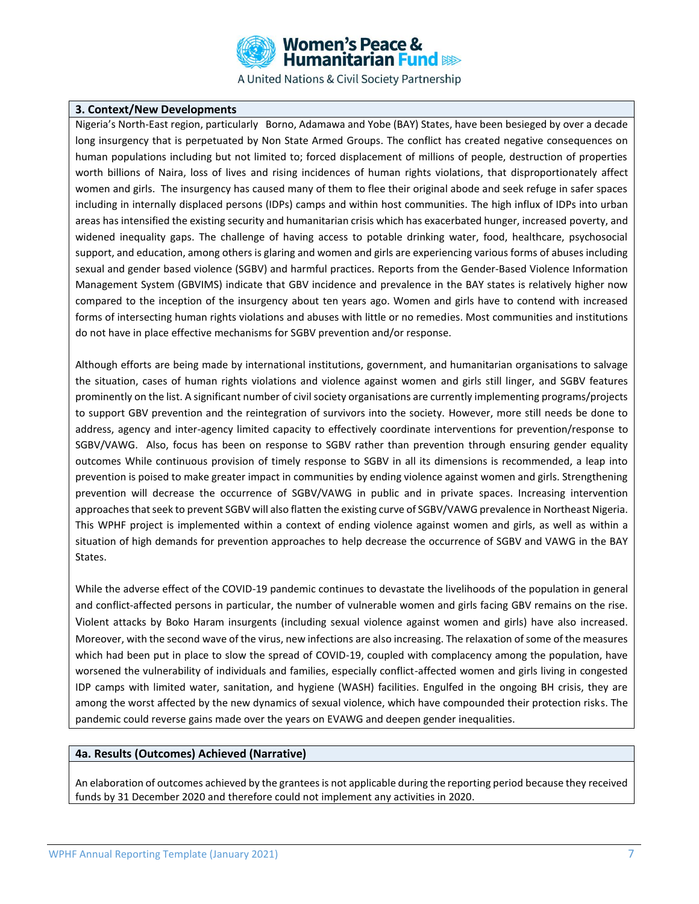

#### **3. Context/New Developments**

Nigeria's North-East region, particularly Borno, Adamawa and Yobe (BAY) States, have been besieged by over a decade long insurgency that is perpetuated by Non State Armed Groups. The conflict has created negative consequences on human populations including but not limited to; forced displacement of millions of people, destruction of properties worth billions of Naira, loss of lives and rising incidences of human rights violations, that disproportionately affect women and girls. The insurgency has caused many of them to flee their original abode and seek refuge in safer spaces including in internally displaced persons (IDPs) camps and within host communities. The high influx of IDPs into urban areas has intensified the existing security and humanitarian crisis which has exacerbated hunger, increased poverty, and widened inequality gaps. The challenge of having access to potable drinking water, food, healthcare, psychosocial support, and education, among others is glaring and women and girls are experiencing various forms of abuses including sexual and gender based violence (SGBV) and harmful practices. Reports from the Gender-Based Violence Information Management System (GBVIMS) indicate that GBV incidence and prevalence in the BAY states is relatively higher now compared to the inception of the insurgency about ten years ago. Women and girls have to contend with increased forms of intersecting human rights violations and abuses with little or no remedies. Most communities and institutions do not have in place effective mechanisms for SGBV prevention and/or response.

Although efforts are being made by international institutions, government, and humanitarian organisations to salvage the situation, cases of human rights violations and violence against women and girls still linger, and SGBV features prominently on the list. A significant number of civil society organisations are currently implementing programs/projects to support GBV prevention and the reintegration of survivors into the society. However, more still needs be done to address, agency and inter-agency limited capacity to effectively coordinate interventions for prevention/response to SGBV/VAWG. Also, focus has been on response to SGBV rather than prevention through ensuring gender equality outcomes While continuous provision of timely response to SGBV in all its dimensions is recommended, a leap into prevention is poised to make greater impact in communities by ending violence against women and girls. Strengthening prevention will decrease the occurrence of SGBV/VAWG in public and in private spaces. Increasing intervention approaches that seek to prevent SGBV will also flatten the existing curve of SGBV/VAWG prevalence in Northeast Nigeria. This WPHF project is implemented within a context of ending violence against women and girls, as well as within a situation of high demands for prevention approaches to help decrease the occurrence of SGBV and VAWG in the BAY States.

While the adverse effect of the COVID-19 pandemic continues to devastate the livelihoods of the population in general and conflict-affected persons in particular, the number of vulnerable women and girls facing GBV remains on the rise. Violent attacks by Boko Haram insurgents (including sexual violence against women and girls) have also increased. Moreover, with the second wave of the virus, new infections are also increasing. The relaxation of some of the measures which had been put in place to slow the spread of COVID-19, coupled with complacency among the population, have worsened the vulnerability of individuals and families, especially conflict-affected women and girls living in congested IDP camps with limited water, sanitation, and hygiene (WASH) facilities. Engulfed in the ongoing BH crisis, they are among the worst affected by the new dynamics of sexual violence, which have compounded their protection risks. The pandemic could reverse gains made over the years on EVAWG and deepen gender inequalities.

#### **4a. Results (Outcomes) Achieved (Narrative)**

An elaboration of outcomes achieved by the grantees is not applicable during the reporting period because they received funds by 31 December 2020 and therefore could not implement any activities in 2020.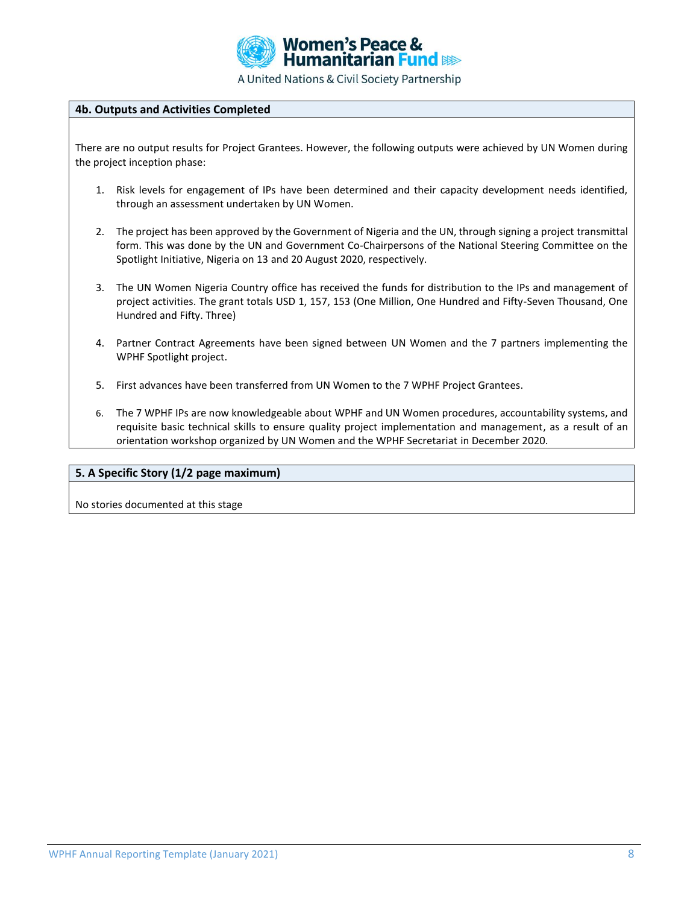

#### **4b. Outputs and Activities Completed**

There are no output results for Project Grantees. However, the following outputs were achieved by UN Women during the project inception phase:

- 1. Risk levels for engagement of IPs have been determined and their capacity development needs identified, through an assessment undertaken by UN Women.
- 2. The project has been approved by the Government of Nigeria and the UN, through signing a project transmittal form. This was done by the UN and Government Co-Chairpersons of the National Steering Committee on the Spotlight Initiative, Nigeria on 13 and 20 August 2020, respectively.
- 3. The UN Women Nigeria Country office has received the funds for distribution to the IPs and management of project activities. The grant totals USD 1, 157, 153 (One Million, One Hundred and Fifty-Seven Thousand, One Hundred and Fifty. Three)
- 4. Partner Contract Agreements have been signed between UN Women and the 7 partners implementing the WPHF Spotlight project.
- 5. First advances have been transferred from UN Women to the 7 WPHF Project Grantees.
- 6. The 7 WPHF IPs are now knowledgeable about WPHF and UN Women procedures, accountability systems, and requisite basic technical skills to ensure quality project implementation and management, as a result of an orientation workshop organized by UN Women and the WPHF Secretariat in December 2020.

#### **5. A Specific Story (1/2 page maximum)**

No stories documented at this stage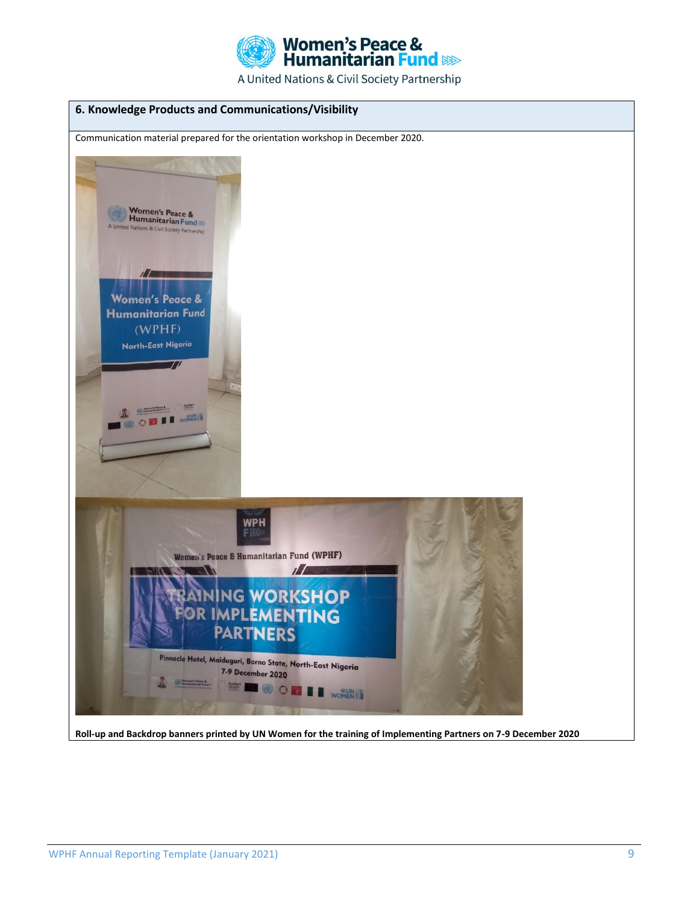

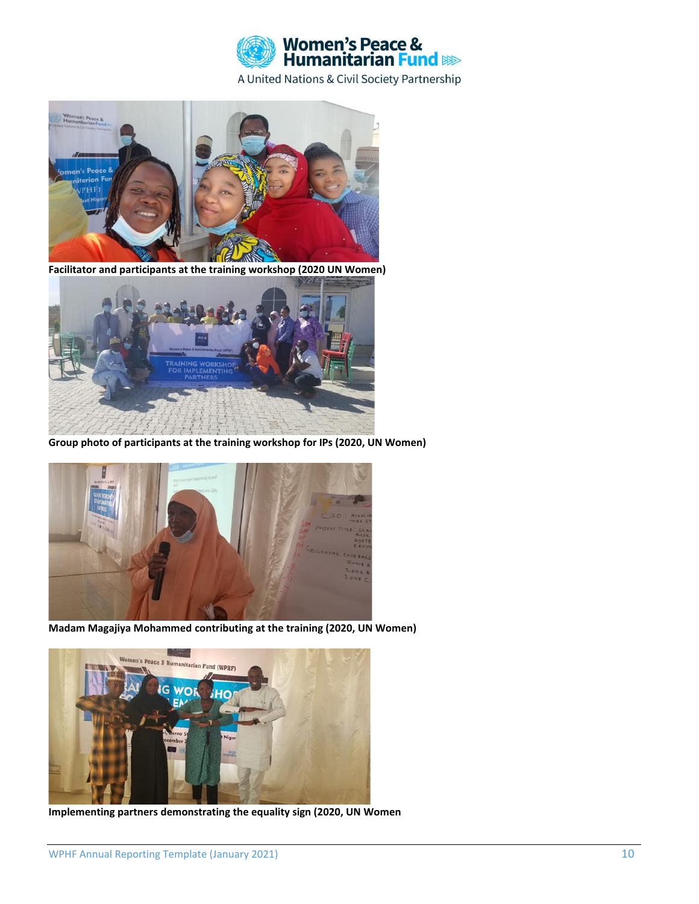



**Facilitator and participants at the training workshop (2020 UN Women)**



**Group photo of participants at the training workshop for IPs (2020, UN Women)**



**Madam Magajiya Mohammed contributing at the training (2020, UN Women)**



**Implementing partners demonstrating the equality sign (2020, UN Women**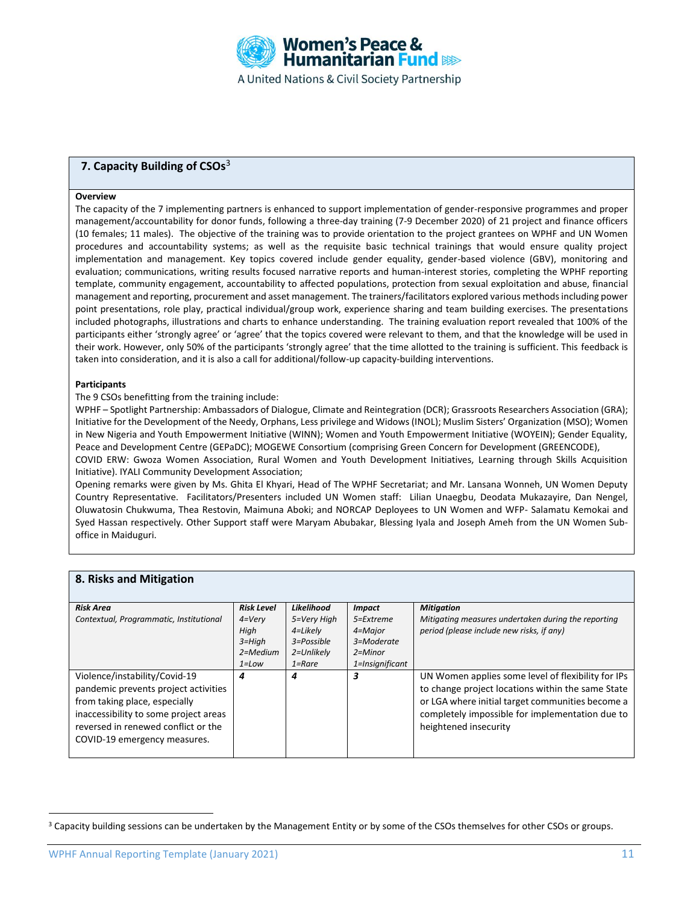

### **7. Capacity Building of CSOs**<sup>3</sup>

#### **Overview**

The capacity of the 7 implementing partners is enhanced to support implementation of gender-responsive programmes and proper management/accountability for donor funds, following a three-day training (7-9 December 2020) of 21 project and finance officers (10 females; 11 males). The objective of the training was to provide orientation to the project grantees on WPHF and UN Women procedures and accountability systems; as well as the requisite basic technical trainings that would ensure quality project implementation and management. Key topics covered include gender equality, gender-based violence (GBV), monitoring and evaluation; communications, writing results focused narrative reports and human-interest stories, completing the WPHF reporting template, community engagement, accountability to affected populations, protection from sexual exploitation and abuse, financial management and reporting, procurement and asset management. The trainers/facilitators explored various methods including power point presentations, role play, practical individual/group work, experience sharing and team building exercises. The presentations included photographs, illustrations and charts to enhance understanding. The training evaluation report revealed that 100% of the participants either 'strongly agree' or 'agree' that the topics covered were relevant to them, and that the knowledge will be used in their work. However, only 50% of the participants 'strongly agree' that the time allotted to the training is sufficient. This feedback is taken into consideration, and it is also a call for additional/follow-up capacity-building interventions.

#### **Participants**

The 9 CSOs benefitting from the training include:

WPHF – Spotlight Partnership: Ambassadors of Dialogue, Climate and Reintegration (DCR); Grassroots Researchers Association (GRA); Initiative for the Development of the Needy, Orphans, Less privilege and Widows (INOL); Muslim Sisters' Organization (MSO); Women in New Nigeria and Youth Empowerment Initiative (WINN); Women and Youth Empowerment Initiative (WOYEIN); Gender Equality, Peace and Development Centre (GEPaDC); MOGEWE Consortium (comprising Green Concern for Development (GREENCODE), COVID ERW: Gwoza Women Association, Rural Women and Youth Development Initiatives, Learning through Skills Acquisition Initiative). IYALI Community Development Association;

Opening remarks were given by Ms. Ghita El Khyari, Head of The WPHF Secretariat; and Mr. Lansana Wonneh, UN Women Deputy Country Representative. Facilitators/Presenters included UN Women staff: Lilian Unaegbu, Deodata Mukazayire, Dan Nengel, Oluwatosin Chukwuma, Thea Restovin, Maimuna Aboki; and NORCAP Deployees to UN Women and WFP- Salamatu Kemokai and Syed Hassan respectively. Other Support staff were Maryam Abubakar, Blessing Iyala and Joseph Ameh from the UN Women Suboffice in Maiduguri.

| 8. Risks and Mitigation                                                                                                                                                                                                |                                                                                   |                                                                                 |                                                                                       |                                                                                                                                                                                                                                         |
|------------------------------------------------------------------------------------------------------------------------------------------------------------------------------------------------------------------------|-----------------------------------------------------------------------------------|---------------------------------------------------------------------------------|---------------------------------------------------------------------------------------|-----------------------------------------------------------------------------------------------------------------------------------------------------------------------------------------------------------------------------------------|
| <b>Risk Area</b><br>Contextual, Programmatic, Institutional                                                                                                                                                            | <b>Risk Level</b><br>$4=V$ ery<br>High<br>$3 = High$<br>$2 = Medium$<br>$1 = Low$ | Likelihood<br>5=Very High<br>4=Likely<br>3=Possible<br>2=Unlikely<br>$1 =$ Rare | <b>Impact</b><br>5=Extreme<br>4=Major<br>3=Moderate<br>$2 =$ Minor<br>1=Insignificant | <b>Mitigation</b><br>Mitigating measures undertaken during the reporting<br>period (please include new risks, if any)                                                                                                                   |
| Violence/instability/Covid-19<br>pandemic prevents project activities<br>from taking place, especially<br>inaccessibility to some project areas<br>reversed in renewed conflict or the<br>COVID-19 emergency measures. | 4                                                                                 | 4                                                                               | 3                                                                                     | UN Women applies some level of flexibility for IPs<br>to change project locations within the same State<br>or LGA where initial target communities become a<br>completely impossible for implementation due to<br>heightened insecurity |

<sup>&</sup>lt;sup>3</sup> Capacity building sessions can be undertaken by the Management Entity or by some of the CSOs themselves for other CSOs or groups.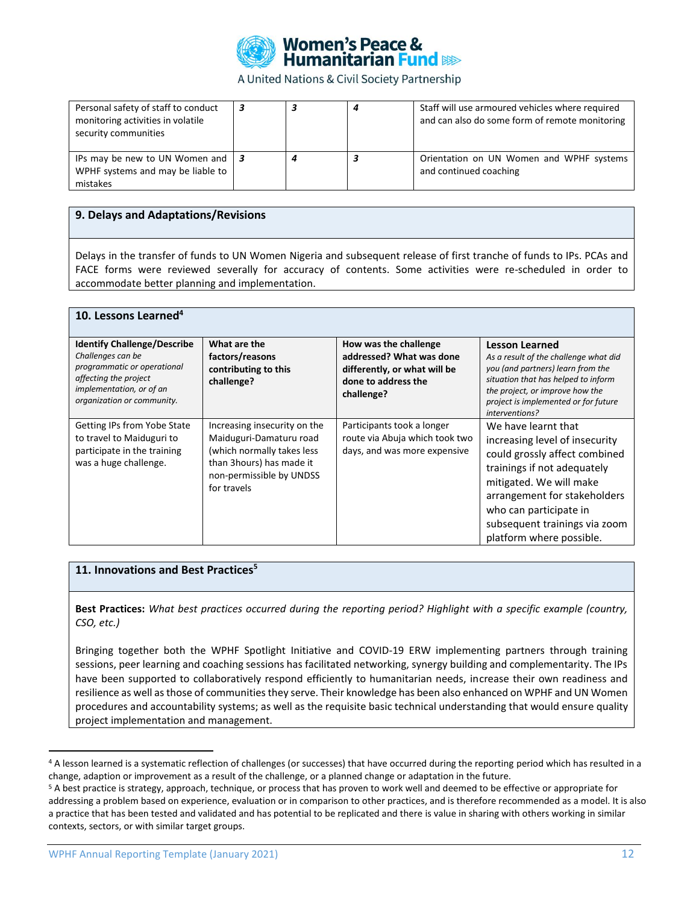

| Personal safety of staff to conduct<br>monitoring activities in volatile<br>security communities |  | Staff will use armoured vehicles where required<br>and can also do some form of remote monitoring |
|--------------------------------------------------------------------------------------------------|--|---------------------------------------------------------------------------------------------------|
| IPs may be new to UN Women and $\vert 3 \vert$<br>WPHF systems and may be liable to<br>mistakes  |  | Orientation on UN Women and WPHF systems<br>and continued coaching                                |

#### **9. Delays and Adaptations/Revisions**

Delays in the transfer of funds to UN Women Nigeria and subsequent release of first tranche of funds to IPs. PCAs and FACE forms were reviewed severally for accuracy of contents. Some activities were re-scheduled in order to accommodate better planning and implementation.

| 10. Lessons Learned <sup>4</sup>                                                                                                                                          |                                                                                                                                                              |                                                                                                                        |                                                                                                                                                                                                                                                                         |
|---------------------------------------------------------------------------------------------------------------------------------------------------------------------------|--------------------------------------------------------------------------------------------------------------------------------------------------------------|------------------------------------------------------------------------------------------------------------------------|-------------------------------------------------------------------------------------------------------------------------------------------------------------------------------------------------------------------------------------------------------------------------|
| <b>Identify Challenge/Describe</b><br>Challenges can be<br>programmatic or operational<br>affecting the project<br>implementation, or of an<br>organization or community. | What are the<br>factors/reasons<br>contributing to this<br>challenge?                                                                                        | How was the challenge<br>addressed? What was done<br>differently, or what will be<br>done to address the<br>challenge? | <b>Lesson Learned</b><br>As a result of the challenge what did<br>you (and partners) learn from the<br>situation that has helped to inform<br>the project, or improve how the<br>project is implemented or for future<br>interventions?                                 |
| Getting IPs from Yobe State<br>to travel to Maiduguri to<br>participate in the training<br>was a huge challenge.                                                          | Increasing insecurity on the<br>Maiduguri-Damaturu road<br>(which normally takes less<br>than 3hours) has made it<br>non-permissible by UNDSS<br>for travels | Participants took a longer<br>route via Abuja which took two<br>days, and was more expensive                           | We have learnt that<br>increasing level of insecurity<br>could grossly affect combined<br>trainings if not adequately<br>mitigated. We will make<br>arrangement for stakeholders<br>who can participate in<br>subsequent trainings via zoom<br>platform where possible. |

#### **11. Innovations and Best Practices<sup>5</sup>**

**Best Practices:** *What best practices occurred during the reporting period? Highlight with a specific example (country, CSO, etc.)*

Bringing together both the WPHF Spotlight Initiative and COVID-19 ERW implementing partners through training sessions, peer learning and coaching sessions has facilitated networking, synergy building and complementarity. The IPs have been supported to collaboratively respond efficiently to humanitarian needs, increase their own readiness and resilience as well as those of communities they serve. Their knowledge has been also enhanced on WPHF and UN Women procedures and accountability systems; as well as the requisite basic technical understanding that would ensure quality project implementation and management.

<sup>4</sup> A lesson learned is a systematic reflection of challenges (or successes) that have occurred during the reporting period which has resulted in a change, adaption or improvement as a result of the challenge, or a planned change or adaptation in the future.

<sup>&</sup>lt;sup>5</sup> A best practice is strategy, approach, technique, or process that has proven to work well and deemed to be effective or appropriate for addressing a problem based on experience, evaluation or in comparison to other practices, and is therefore recommended as a model. It is also a practice that has been tested and validated and has potential to be replicated and there is value in sharing with others working in similar contexts, sectors, or with similar target groups.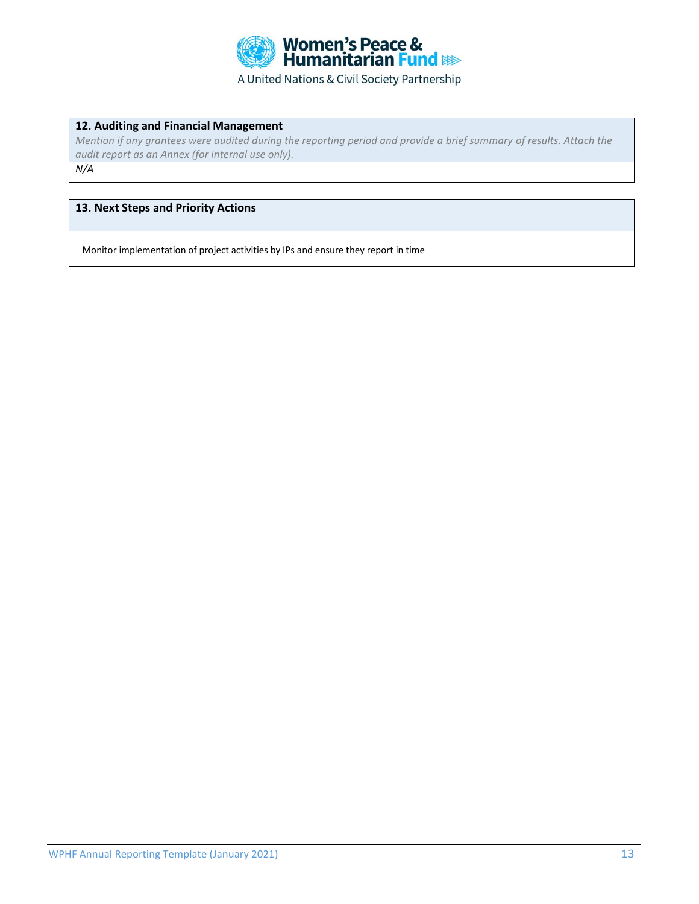

## **12. Auditing and Financial Management**

*Mention if any grantees were audited during the reporting period and provide a brief summary of results. Attach the audit report as an Annex (for internal use only). N/A*

### **13. Next Steps and Priority Actions**

Monitor implementation of project activities by IPs and ensure they report in time